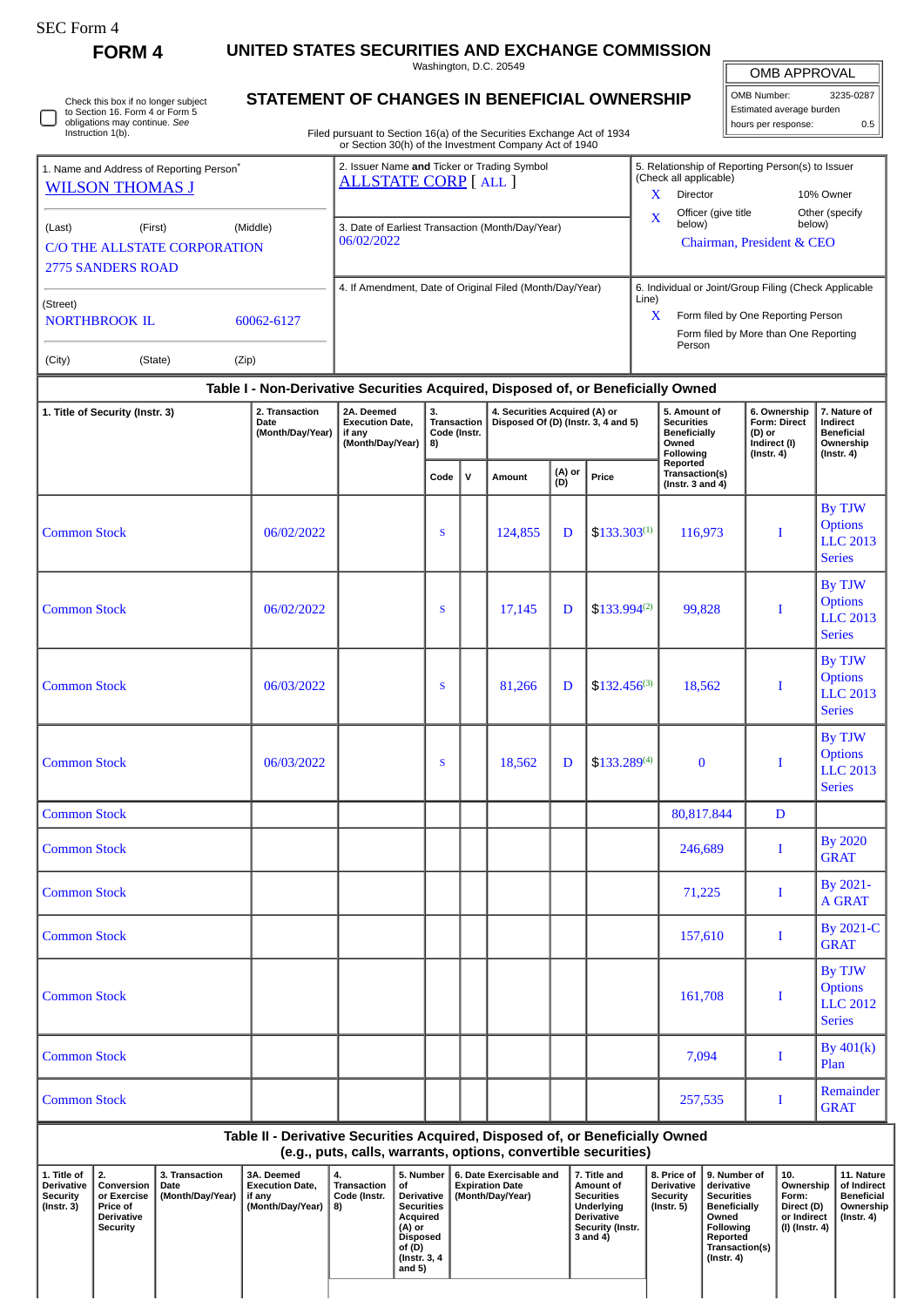| SEC Form |
|----------|
|----------|

**FORM 4 UNITED STATES SECURITIES AND EXCHANGE COMMISSION** Washington, D.C. 20549

 $\mathbb{F}$ OMB APPROVAL

| OMB Number:              | 3235-0287 |  |  |  |  |  |  |
|--------------------------|-----------|--|--|--|--|--|--|
| Estimated average burden |           |  |  |  |  |  |  |
| hours per response:      | 0.5       |  |  |  |  |  |  |

Check this box if no longer subject to Section 16. Form 4 or Form 5 obligations may continue. *See* Instruction 1(b). ∩

## **STATEMENT OF CHANGES IN BENEFICIAL OWNERSHIP**

Filed pursuant to Section 16(a) of the Securities Exchange Act of 1934 or Section 30(h) of the Investment Company Act of 1940

| 1. Name and Address of Reporting Person <sup>®</sup>                          |                                                                                  | 2. Issuer Name and Ticker or Trading Symbol<br><b>ALLSTATE CORP</b> [ALL ] | 5. Relationship of Reporting Person(s) to Issuer<br>(Check all applicable) |                                                                                       |                          |  |  |  |  |  |  |
|-------------------------------------------------------------------------------|----------------------------------------------------------------------------------|----------------------------------------------------------------------------|----------------------------------------------------------------------------|---------------------------------------------------------------------------------------|--------------------------|--|--|--|--|--|--|
| <b>WILSON THOMAS J</b>                                                        |                                                                                  |                                                                            | X                                                                          | <b>Director</b>                                                                       | 10% Owner                |  |  |  |  |  |  |
| (Last)<br>(First)<br>C/O THE ALLSTATE CORPORATION<br><b>2775 SANDERS ROAD</b> | (Middle)                                                                         | 3. Date of Earliest Transaction (Month/Day/Year)<br>06/02/2022             | $\mathbf x$                                                                | Officer (give title<br>below)<br>Chairman, President & CEO                            | Other (specify<br>below) |  |  |  |  |  |  |
|                                                                               |                                                                                  | 4. If Amendment, Date of Original Filed (Month/Day/Year)                   |                                                                            | 6. Individual or Joint/Group Filing (Check Applicable                                 |                          |  |  |  |  |  |  |
| (Street)<br><b>NORTHBROOK IL</b>                                              | 60062-6127                                                                       |                                                                            | Line)<br>$\mathbf x$                                                       | Form filed by One Reporting Person<br>Form filed by More than One Reporting<br>Person |                          |  |  |  |  |  |  |
| (City)<br>(State)                                                             | (Zip)                                                                            |                                                                            |                                                                            |                                                                                       |                          |  |  |  |  |  |  |
|                                                                               | Table I - Non-Derivative Securities Acquired, Disposed of, or Beneficially Owned |                                                                            |                                                                            |                                                                                       |                          |  |  |  |  |  |  |

| 1. Title of Security (Instr. 3) | 2. Transaction<br>Date<br>(Month/Day/Year) | 2A. Deemed<br><b>Execution Date,</b><br>if any<br>(Month/Day/Year) | 3.<br>Transaction<br>Code (Instr.<br>8) |              | 4. Securities Acquired (A) or<br>Disposed Of (D) (Instr. 3, 4 and 5) |               |                  | 5. Amount of<br><b>Securities</b><br><b>Beneficially</b><br>Owned<br>Following | 6. Ownership<br>Form: Direct<br>(D) or<br>Indirect (I)<br>$($ Instr. 4 $)$ | 7. Nature of<br>Indirect<br><b>Beneficial</b><br>Ownership<br>$($ Instr. 4 $)$ |
|---------------------------------|--------------------------------------------|--------------------------------------------------------------------|-----------------------------------------|--------------|----------------------------------------------------------------------|---------------|------------------|--------------------------------------------------------------------------------|----------------------------------------------------------------------------|--------------------------------------------------------------------------------|
|                                 |                                            |                                                                    | Code                                    | $\mathbf{v}$ | Amount                                                               | (A) or<br>(D) | Price            | Reported<br>Transaction(s)<br>(Instr. 3 and $4$ )                              |                                                                            |                                                                                |
| <b>Common Stock</b>             | 06/02/2022                                 |                                                                    | S                                       |              | 124,855                                                              | D             | $$133.303^{(1)}$ | 116,973                                                                        | I                                                                          | By TJW<br><b>Options</b><br><b>LLC 2013</b><br><b>Series</b>                   |
| <b>Common Stock</b>             | 06/02/2022                                 |                                                                    | S                                       |              | 17,145                                                               | D             | $$133.994^{(2)}$ | 99,828                                                                         | $\bf{I}$                                                                   | By TJW<br><b>Options</b><br><b>LLC 2013</b><br><b>Series</b>                   |
| <b>Common Stock</b>             | 06/03/2022                                 |                                                                    | S                                       |              | 81,266                                                               | D             | $$132.456^{(3)}$ | 18,562                                                                         | $\bf{I}$                                                                   | By TJW<br><b>Options</b><br><b>LLC 2013</b><br><b>Series</b>                   |
| <b>Common Stock</b>             | 06/03/2022                                 |                                                                    | S                                       |              | 18,562                                                               | D             | \$133.289(4)     | $\bf{0}$                                                                       | $\bf I$                                                                    | <b>By TJW</b><br><b>Options</b><br><b>LLC 2013</b><br><b>Series</b>            |
| <b>Common Stock</b>             |                                            |                                                                    |                                         |              |                                                                      |               |                  | 80,817.844                                                                     | D                                                                          |                                                                                |
| <b>Common Stock</b>             |                                            |                                                                    |                                         |              |                                                                      |               |                  | 246,689                                                                        | $\bf{I}$                                                                   | <b>By 2020</b><br><b>GRAT</b>                                                  |
| <b>Common Stock</b>             |                                            |                                                                    |                                         |              |                                                                      |               |                  | 71,225                                                                         | $\bf{I}$                                                                   | By 2021-<br><b>A GRAT</b>                                                      |
| <b>Common Stock</b>             |                                            |                                                                    |                                         |              |                                                                      |               |                  | 157,610                                                                        | I                                                                          | <b>By 2021-C</b><br><b>GRAT</b>                                                |
| <b>Common Stock</b>             |                                            |                                                                    |                                         |              |                                                                      |               |                  | 161,708                                                                        | $\mathbf I$                                                                | By TJW<br><b>Options</b><br><b>LLC 2012</b><br><b>Series</b>                   |
| <b>Common Stock</b>             |                                            |                                                                    |                                         |              |                                                                      |               |                  | 7,094                                                                          | Ι                                                                          | By $401(k)$<br>Plan                                                            |
| <b>Common Stock</b>             |                                            |                                                                    |                                         |              |                                                                      |               |                  | 257,535                                                                        | I                                                                          | Remainder<br><b>GRAT</b>                                                       |

**Table II - Derivative Securities Acquired, Disposed of, or Beneficially Owned (e.g., puts, calls, warrants, options, convertible securities)**

| 1. Title of<br><b>Derivative</b><br>Security<br>(Instr. 3) | ່ 2.<br>Conversion<br>or Exercise<br><b>Price of</b><br>Derivative<br>Security | 3. Transaction<br>Date<br>(Month/Day/Year) | 3A. Deemed<br><b>Execution Date.</b><br>if anv<br>(Month/Day/Year) | 4.<br>Transaction<br>Code (Instr.<br>8) | 5. Number 1<br>οt<br>Derivative  <br><b>Securities</b><br>Acquired<br>(A) or<br>Disposed<br>of (D)<br>(Instr. 3, 4)<br>and 5) | 6. Date Exercisable and<br><b>Expiration Date</b><br>(Month/Dav/Year) | 7. Title and<br>Amount of<br><b>Securities</b><br>Underlying<br><b>Derivative</b><br><b>Security (Instr.</b><br>3 and 4) | 8. Price of<br><b>Derivative</b><br>Security<br>(Instr. 5) | 9. Number of<br>derivative<br><b>Securities</b><br><b>Beneficially</b><br>Owned<br>Following<br>Reported<br>Transaction(s)<br>(Instr. 4) | 10.<br>Ownership<br>Form:<br>Direct (D)<br>or Indirect<br>(I) (Instr. 4) | 11. Nature<br>of Indirect<br><b>Beneficial</b><br>Ownership<br>(Instr. 4) |
|------------------------------------------------------------|--------------------------------------------------------------------------------|--------------------------------------------|--------------------------------------------------------------------|-----------------------------------------|-------------------------------------------------------------------------------------------------------------------------------|-----------------------------------------------------------------------|--------------------------------------------------------------------------------------------------------------------------|------------------------------------------------------------|------------------------------------------------------------------------------------------------------------------------------------------|--------------------------------------------------------------------------|---------------------------------------------------------------------------|